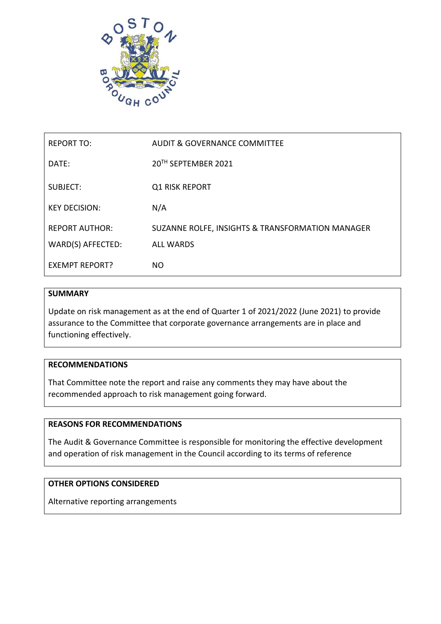

| <b>REPORT TO:</b>     | AUDIT & GOVERNANCE COMMITTEE                     |
|-----------------------|--------------------------------------------------|
| DATE:                 | 20TH SEPTEMBER 2021                              |
| SUBJECT:              | <b>Q1 RISK REPORT</b>                            |
| <b>KEY DECISION:</b>  | N/A                                              |
| <b>REPORT AUTHOR:</b> | SUZANNE ROLFE, INSIGHTS & TRANSFORMATION MANAGER |
| WARD(S) AFFECTED:     | <b>ALL WARDS</b>                                 |
| <b>EXEMPT REPORT?</b> | NO.                                              |

## **SUMMARY**

Update on risk management as at the end of Quarter 1 of 2021/2022 (June 2021) to provide assurance to the Committee that corporate governance arrangements are in place and functioning effectively.

## **RECOMMENDATIONS**

That Committee note the report and raise any comments they may have about the recommended approach to risk management going forward.

## **REASONS FOR RECOMMENDATIONS**

The Audit & Governance Committee is responsible for monitoring the effective development and operation of risk management in the Council according to its terms of reference

# **OTHER OPTIONS CONSIDERED**

Alternative reporting arrangements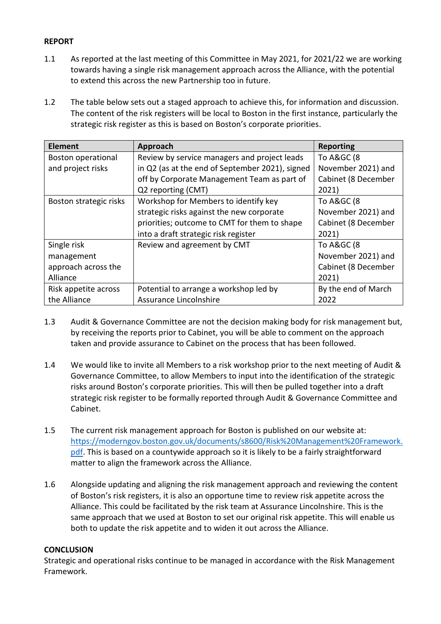## **REPORT**

- 1.1 As reported at the last meeting of this Committee in May 2021, for 2021/22 we are working towards having a single risk management approach across the Alliance, with the potential to extend this across the new Partnership too in future.
- 1.2 The table below sets out a staged approach to achieve this, for information and discussion. The content of the risk registers will be local to Boston in the first instance, particularly the strategic risk register as this is based on Boston's corporate priorities.

| <b>Element</b>            | Approach                                        | <b>Reporting</b>    |
|---------------------------|-------------------------------------------------|---------------------|
| <b>Boston operational</b> | Review by service managers and project leads    | To A&GC (8          |
| and project risks         | in Q2 (as at the end of September 2021), signed | November 2021) and  |
|                           | off by Corporate Management Team as part of     | Cabinet (8 December |
|                           | Q2 reporting (CMT)                              | 2021)               |
| Boston strategic risks    | Workshop for Members to identify key            | To A&GC (8          |
|                           | strategic risks against the new corporate       | November 2021) and  |
|                           | priorities; outcome to CMT for them to shape    | Cabinet (8 December |
|                           | into a draft strategic risk register            | 2021)               |
| Single risk               | Review and agreement by CMT                     | To A&GC (8          |
| management                |                                                 | November 2021) and  |
| approach across the       |                                                 | Cabinet (8 December |
| Alliance                  |                                                 | 2021)               |
| Risk appetite across      | Potential to arrange a workshop led by          | By the end of March |
| the Alliance              | Assurance Lincolnshire                          | 2022                |

- 1.3 Audit & Governance Committee are not the decision making body for risk management but, by receiving the reports prior to Cabinet, you will be able to comment on the approach taken and provide assurance to Cabinet on the process that has been followed.
- 1.4 We would like to invite all Members to a risk workshop prior to the next meeting of Audit & Governance Committee, to allow Members to input into the identification of the strategic risks around Boston's corporate priorities. This will then be pulled together into a draft strategic risk register to be formally reported through Audit & Governance Committee and Cabinet.
- 1.5 The current risk management approach for Boston is published on our website at: [https://moderngov.boston.gov.uk/documents/s8600/Risk%20Management%20Framework.](https://moderngov.boston.gov.uk/documents/s8600/Risk%20Management%20Framework.pdf) [pdf.](https://moderngov.boston.gov.uk/documents/s8600/Risk%20Management%20Framework.pdf) This is based on a countywide approach so it is likely to be a fairly straightforward matter to align the framework across the Alliance.
- 1.6 Alongside updating and aligning the risk management approach and reviewing the content of Boston's risk registers, it is also an opportune time to review risk appetite across the Alliance. This could be facilitated by the risk team at Assurance Lincolnshire. This is the same approach that we used at Boston to set our original risk appetite. This will enable us both to update the risk appetite and to widen it out across the Alliance.

## **CONCLUSION**

Strategic and operational risks continue to be managed in accordance with the Risk Management Framework.